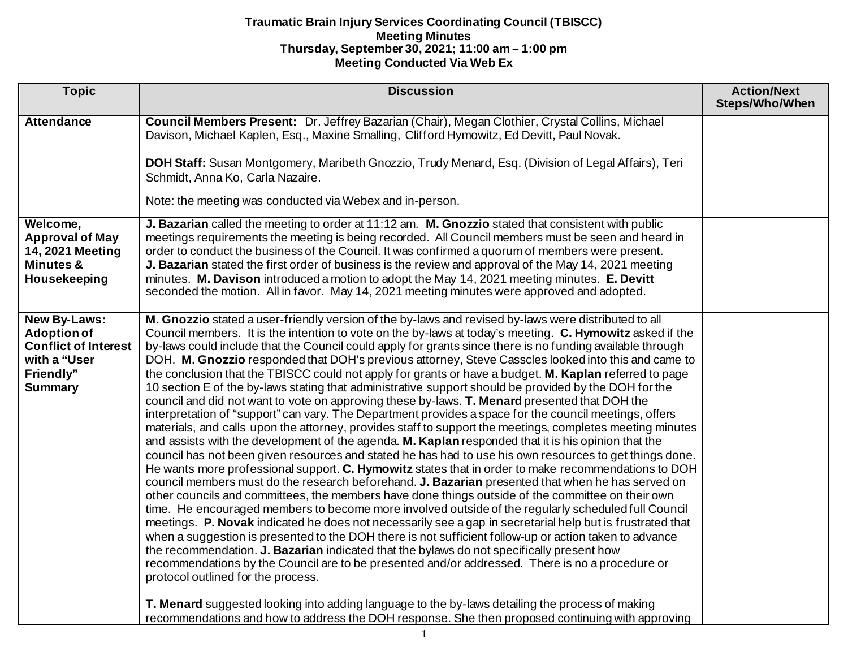| <b>Topic</b>                                                                                                            | <b>Discussion</b>                                                                                                                                                                                                                                                                                                                                                                                                                                                                                                                                                                                                                                                                                                                                                                                                                                                                                                                                                                                                                                                                                                                                                                                                                                                                                                                                                                                                                                                                                                                                                                                                                                                                                                                                                                                                                                                                                                                                                                                                                                                                                                                                                                                                                                                                             | <b>Action/Next</b><br>Steps/Who/When |
|-------------------------------------------------------------------------------------------------------------------------|-----------------------------------------------------------------------------------------------------------------------------------------------------------------------------------------------------------------------------------------------------------------------------------------------------------------------------------------------------------------------------------------------------------------------------------------------------------------------------------------------------------------------------------------------------------------------------------------------------------------------------------------------------------------------------------------------------------------------------------------------------------------------------------------------------------------------------------------------------------------------------------------------------------------------------------------------------------------------------------------------------------------------------------------------------------------------------------------------------------------------------------------------------------------------------------------------------------------------------------------------------------------------------------------------------------------------------------------------------------------------------------------------------------------------------------------------------------------------------------------------------------------------------------------------------------------------------------------------------------------------------------------------------------------------------------------------------------------------------------------------------------------------------------------------------------------------------------------------------------------------------------------------------------------------------------------------------------------------------------------------------------------------------------------------------------------------------------------------------------------------------------------------------------------------------------------------------------------------------------------------------------------------------------------------|--------------------------------------|
| <b>Attendance</b>                                                                                                       | Council Members Present: Dr. Jeffrey Bazarian (Chair), Megan Clothier, Crystal Collins, Michael<br>Davison, Michael Kaplen, Esq., Maxine Smalling, Clifford Hymowitz, Ed Devitt, Paul Novak.                                                                                                                                                                                                                                                                                                                                                                                                                                                                                                                                                                                                                                                                                                                                                                                                                                                                                                                                                                                                                                                                                                                                                                                                                                                                                                                                                                                                                                                                                                                                                                                                                                                                                                                                                                                                                                                                                                                                                                                                                                                                                                  |                                      |
|                                                                                                                         | DOH Staff: Susan Montgomery, Maribeth Gnozzio, Trudy Menard, Esq. (Division of Legal Affairs), Teri<br>Schmidt, Anna Ko, Carla Nazaire.                                                                                                                                                                                                                                                                                                                                                                                                                                                                                                                                                                                                                                                                                                                                                                                                                                                                                                                                                                                                                                                                                                                                                                                                                                                                                                                                                                                                                                                                                                                                                                                                                                                                                                                                                                                                                                                                                                                                                                                                                                                                                                                                                       |                                      |
|                                                                                                                         | Note: the meeting was conducted via Webex and in-person.                                                                                                                                                                                                                                                                                                                                                                                                                                                                                                                                                                                                                                                                                                                                                                                                                                                                                                                                                                                                                                                                                                                                                                                                                                                                                                                                                                                                                                                                                                                                                                                                                                                                                                                                                                                                                                                                                                                                                                                                                                                                                                                                                                                                                                      |                                      |
| Welcome,<br><b>Approval of May</b><br>14, 2021 Meeting<br><b>Minutes &amp;</b><br>Housekeeping                          | J. Bazarian called the meeting to order at 11:12 am. M. Gnozzio stated that consistent with public<br>meetings requirements the meeting is being recorded. All Council members must be seen and heard in<br>order to conduct the business of the Council. It was confirmed a quorum of members were present.<br>J. Bazarian stated the first order of business is the review and approval of the May 14, 2021 meeting<br>minutes. M. Davison introduced a motion to adopt the May 14, 2021 meeting minutes. E. Devitt<br>seconded the motion. All in favor. May 14, 2021 meeting minutes were approved and adopted.                                                                                                                                                                                                                                                                                                                                                                                                                                                                                                                                                                                                                                                                                                                                                                                                                                                                                                                                                                                                                                                                                                                                                                                                                                                                                                                                                                                                                                                                                                                                                                                                                                                                           |                                      |
| <b>New By-Laws:</b><br><b>Adoption of</b><br><b>Conflict of Interest</b><br>with a "User<br>Friendly"<br><b>Summary</b> | M. Gnozzio stated a user-friendly version of the by-laws and revised by-laws were distributed to all<br>Council members. It is the intention to vote on the by-laws at today's meeting. C. Hymowitz asked if the<br>by-laws could include that the Council could apply for grants since there is no funding available through<br>DOH. M. Gnozzio responded that DOH's previous attorney, Steve Casscles looked into this and came to<br>the conclusion that the TBISCC could not apply for grants or have a budget. M. Kaplan referred to page<br>10 section E of the by-laws stating that administrative support should be provided by the DOH for the<br>council and did not want to vote on approving these by-laws. T. Menard presented that DOH the<br>interpretation of "support" can vary. The Department provides a space for the council meetings, offers<br>materials, and calls upon the attorney, provides staff to support the meetings, completes meeting minutes<br>and assists with the development of the agenda. M. Kaplan responded that it is his opinion that the<br>council has not been given resources and stated he has had to use his own resources to get things done.<br>He wants more professional support. C. Hymowitz states that in order to make recommendations to DOH<br>council members must do the research beforehand. J. Bazarian presented that when he has served on<br>other councils and committees, the members have done things outside of the committee on their own<br>time. He encouraged members to become more involved outside of the regularly scheduled full Council<br>meetings. P. Novak indicated he does not necessarily see a gap in secretarial help but is frustrated that<br>when a suggestion is presented to the DOH there is not sufficient follow-up or action taken to advance<br>the recommendation. J. Bazarian indicated that the bylaws do not specifically present how<br>recommendations by the Council are to be presented and/or addressed. There is no a procedure or<br>protocol outlined for the process.<br>T. Menard suggested looking into adding language to the by-laws detailing the process of making<br>recommendations and how to address the DOH response. She then proposed continuing with approving |                                      |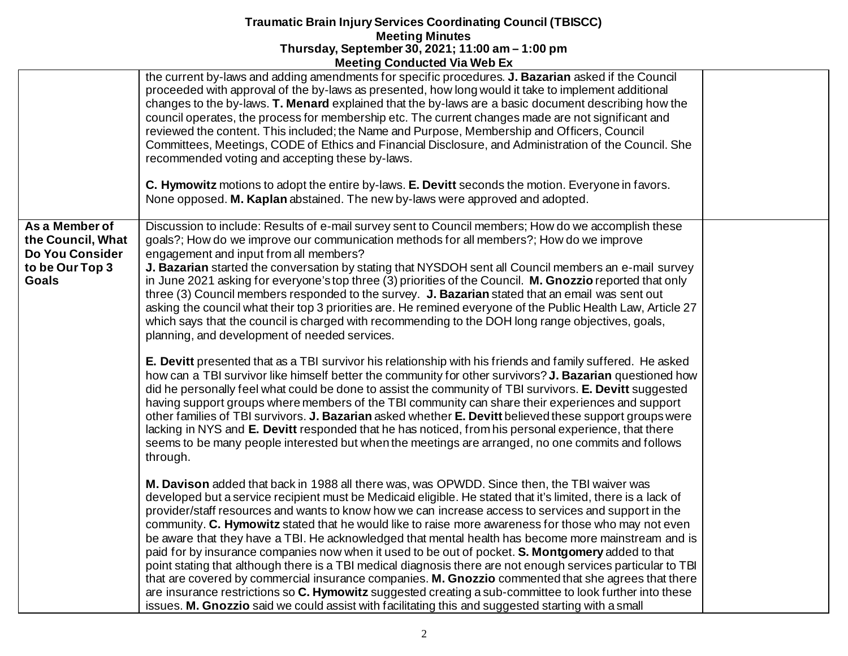| the current by-laws and adding amendments for specific procedures. J. Bazarian asked if the Council<br>proceeded with approval of the by-laws as presented, how long would it take to implement additional<br>changes to the by-laws. <b>T. Menard</b> explained that the by-laws are a basic document describing how the<br>council operates, the process for membership etc. The current changes made are not significant and<br>reviewed the content. This included; the Name and Purpose, Membership and Officers, Council<br>Committees, Meetings, CODE of Ethics and Financial Disclosure, and Administration of the Council. She<br>recommended voting and accepting these by-laws.<br>C. Hymowitz motions to adopt the entire by-laws. E. Devitt seconds the motion. Everyone in favors.<br>None opposed. M. Kaplan abstained. The new by-laws were approved and adopted.<br>As a Member of<br>Discussion to include: Results of e-mail survey sent to Council members; How do we accomplish these<br>goals?; How do we improve our communication methods for all members?; How do we improve<br>the Council, What<br>Do You Consider<br>engagement and input from all members?<br>J. Bazarian started the conversation by stating that NYSDOH sent all Council members an e-mail survey<br>to be Our Top 3<br><b>Goals</b><br>in June 2021 asking for everyone's top three (3) priorities of the Council. M. Gnozzio reported that only<br>three (3) Council members responded to the survey. J. Bazarian stated that an email was sent out<br>asking the council what their top 3 priorities are. He remined everyone of the Public Health Law, Article 27<br>which says that the council is charged with recommending to the DOH long range objectives, goals,<br>planning, and development of needed services.<br>E. Devitt presented that as a TBI survivor his relationship with his friends and family suffered. He asked<br>how can a TBI survivor like himself better the community for other survivors? J. Bazarian questioned how<br>did he personally feel what could be done to assist the community of TBI survivors. E. Devitt suggested<br>having support groups where members of the TBI community can share their experiences and support<br>other families of TBI survivors. J. Bazarian asked whether E. Devitt believed these support groups were<br>lacking in NYS and E. Devitt responded that he has noticed, from his personal experience, that there<br>seems to be many people interested but when the meetings are arranged, no one commits and follows<br>through.<br>M. Davison added that back in 1988 all there was, was OPWDD. Since then, the TBI waiver was<br>developed but a service recipient must be Medicaid eligible. He stated that it's limited, there is a lack of<br>provider/staff resources and wants to know how we can increase access to services and support in the<br>community. C. Hymowitz stated that he would like to raise more awareness for those who may not even<br>be aware that they have a TBI. He acknowledged that mental health has become more mainstream and is<br>paid for by insurance companies now when it used to be out of pocket. S. Montgomery added to that<br>point stating that although there is a TBI medical diagnosis there are not enough services particular to TBI<br>that are covered by commercial insurance companies. M. Gnozzio commented that she agrees that there<br>are insurance restrictions so C. Hymowitz suggested creating a sub-committee to look further into these<br>issues. M. Gnozzio said we could assist with facilitating this and suggested starting with a small | <b>THE CHILD OUTBROTEGY THE TYPE LATE</b> |  |
|-------------------------------------------------------------------------------------------------------------------------------------------------------------------------------------------------------------------------------------------------------------------------------------------------------------------------------------------------------------------------------------------------------------------------------------------------------------------------------------------------------------------------------------------------------------------------------------------------------------------------------------------------------------------------------------------------------------------------------------------------------------------------------------------------------------------------------------------------------------------------------------------------------------------------------------------------------------------------------------------------------------------------------------------------------------------------------------------------------------------------------------------------------------------------------------------------------------------------------------------------------------------------------------------------------------------------------------------------------------------------------------------------------------------------------------------------------------------------------------------------------------------------------------------------------------------------------------------------------------------------------------------------------------------------------------------------------------------------------------------------------------------------------------------------------------------------------------------------------------------------------------------------------------------------------------------------------------------------------------------------------------------------------------------------------------------------------------------------------------------------------------------------------------------------------------------------------------------------------------------------------------------------------------------------------------------------------------------------------------------------------------------------------------------------------------------------------------------------------------------------------------------------------------------------------------------------------------------------------------------------------------------------------------------------------------------------------------------------------------------------------------------------------------------------------------------------------------------------------------------------------------------------------------------------------------------------------------------------------------------------------------------------------------------------------------------------------------------------------------------------------------------------------------------------------------------------------------------------------------------------------------------------------------------------------------------------------------------------------------------------------------------------------------------------------------------------------------------------------------------------------------------------------------------------------------------------------------------------------------------------------------------------------------------------------------------|-------------------------------------------|--|
|                                                                                                                                                                                                                                                                                                                                                                                                                                                                                                                                                                                                                                                                                                                                                                                                                                                                                                                                                                                                                                                                                                                                                                                                                                                                                                                                                                                                                                                                                                                                                                                                                                                                                                                                                                                                                                                                                                                                                                                                                                                                                                                                                                                                                                                                                                                                                                                                                                                                                                                                                                                                                                                                                                                                                                                                                                                                                                                                                                                                                                                                                                                                                                                                                                                                                                                                                                                                                                                                                                                                                                                                                                                                                           |                                           |  |
|                                                                                                                                                                                                                                                                                                                                                                                                                                                                                                                                                                                                                                                                                                                                                                                                                                                                                                                                                                                                                                                                                                                                                                                                                                                                                                                                                                                                                                                                                                                                                                                                                                                                                                                                                                                                                                                                                                                                                                                                                                                                                                                                                                                                                                                                                                                                                                                                                                                                                                                                                                                                                                                                                                                                                                                                                                                                                                                                                                                                                                                                                                                                                                                                                                                                                                                                                                                                                                                                                                                                                                                                                                                                                           |                                           |  |
|                                                                                                                                                                                                                                                                                                                                                                                                                                                                                                                                                                                                                                                                                                                                                                                                                                                                                                                                                                                                                                                                                                                                                                                                                                                                                                                                                                                                                                                                                                                                                                                                                                                                                                                                                                                                                                                                                                                                                                                                                                                                                                                                                                                                                                                                                                                                                                                                                                                                                                                                                                                                                                                                                                                                                                                                                                                                                                                                                                                                                                                                                                                                                                                                                                                                                                                                                                                                                                                                                                                                                                                                                                                                                           |                                           |  |
|                                                                                                                                                                                                                                                                                                                                                                                                                                                                                                                                                                                                                                                                                                                                                                                                                                                                                                                                                                                                                                                                                                                                                                                                                                                                                                                                                                                                                                                                                                                                                                                                                                                                                                                                                                                                                                                                                                                                                                                                                                                                                                                                                                                                                                                                                                                                                                                                                                                                                                                                                                                                                                                                                                                                                                                                                                                                                                                                                                                                                                                                                                                                                                                                                                                                                                                                                                                                                                                                                                                                                                                                                                                                                           |                                           |  |
|                                                                                                                                                                                                                                                                                                                                                                                                                                                                                                                                                                                                                                                                                                                                                                                                                                                                                                                                                                                                                                                                                                                                                                                                                                                                                                                                                                                                                                                                                                                                                                                                                                                                                                                                                                                                                                                                                                                                                                                                                                                                                                                                                                                                                                                                                                                                                                                                                                                                                                                                                                                                                                                                                                                                                                                                                                                                                                                                                                                                                                                                                                                                                                                                                                                                                                                                                                                                                                                                                                                                                                                                                                                                                           |                                           |  |
|                                                                                                                                                                                                                                                                                                                                                                                                                                                                                                                                                                                                                                                                                                                                                                                                                                                                                                                                                                                                                                                                                                                                                                                                                                                                                                                                                                                                                                                                                                                                                                                                                                                                                                                                                                                                                                                                                                                                                                                                                                                                                                                                                                                                                                                                                                                                                                                                                                                                                                                                                                                                                                                                                                                                                                                                                                                                                                                                                                                                                                                                                                                                                                                                                                                                                                                                                                                                                                                                                                                                                                                                                                                                                           |                                           |  |
|                                                                                                                                                                                                                                                                                                                                                                                                                                                                                                                                                                                                                                                                                                                                                                                                                                                                                                                                                                                                                                                                                                                                                                                                                                                                                                                                                                                                                                                                                                                                                                                                                                                                                                                                                                                                                                                                                                                                                                                                                                                                                                                                                                                                                                                                                                                                                                                                                                                                                                                                                                                                                                                                                                                                                                                                                                                                                                                                                                                                                                                                                                                                                                                                                                                                                                                                                                                                                                                                                                                                                                                                                                                                                           |                                           |  |
|                                                                                                                                                                                                                                                                                                                                                                                                                                                                                                                                                                                                                                                                                                                                                                                                                                                                                                                                                                                                                                                                                                                                                                                                                                                                                                                                                                                                                                                                                                                                                                                                                                                                                                                                                                                                                                                                                                                                                                                                                                                                                                                                                                                                                                                                                                                                                                                                                                                                                                                                                                                                                                                                                                                                                                                                                                                                                                                                                                                                                                                                                                                                                                                                                                                                                                                                                                                                                                                                                                                                                                                                                                                                                           |                                           |  |
|                                                                                                                                                                                                                                                                                                                                                                                                                                                                                                                                                                                                                                                                                                                                                                                                                                                                                                                                                                                                                                                                                                                                                                                                                                                                                                                                                                                                                                                                                                                                                                                                                                                                                                                                                                                                                                                                                                                                                                                                                                                                                                                                                                                                                                                                                                                                                                                                                                                                                                                                                                                                                                                                                                                                                                                                                                                                                                                                                                                                                                                                                                                                                                                                                                                                                                                                                                                                                                                                                                                                                                                                                                                                                           |                                           |  |
|                                                                                                                                                                                                                                                                                                                                                                                                                                                                                                                                                                                                                                                                                                                                                                                                                                                                                                                                                                                                                                                                                                                                                                                                                                                                                                                                                                                                                                                                                                                                                                                                                                                                                                                                                                                                                                                                                                                                                                                                                                                                                                                                                                                                                                                                                                                                                                                                                                                                                                                                                                                                                                                                                                                                                                                                                                                                                                                                                                                                                                                                                                                                                                                                                                                                                                                                                                                                                                                                                                                                                                                                                                                                                           |                                           |  |
|                                                                                                                                                                                                                                                                                                                                                                                                                                                                                                                                                                                                                                                                                                                                                                                                                                                                                                                                                                                                                                                                                                                                                                                                                                                                                                                                                                                                                                                                                                                                                                                                                                                                                                                                                                                                                                                                                                                                                                                                                                                                                                                                                                                                                                                                                                                                                                                                                                                                                                                                                                                                                                                                                                                                                                                                                                                                                                                                                                                                                                                                                                                                                                                                                                                                                                                                                                                                                                                                                                                                                                                                                                                                                           |                                           |  |
|                                                                                                                                                                                                                                                                                                                                                                                                                                                                                                                                                                                                                                                                                                                                                                                                                                                                                                                                                                                                                                                                                                                                                                                                                                                                                                                                                                                                                                                                                                                                                                                                                                                                                                                                                                                                                                                                                                                                                                                                                                                                                                                                                                                                                                                                                                                                                                                                                                                                                                                                                                                                                                                                                                                                                                                                                                                                                                                                                                                                                                                                                                                                                                                                                                                                                                                                                                                                                                                                                                                                                                                                                                                                                           |                                           |  |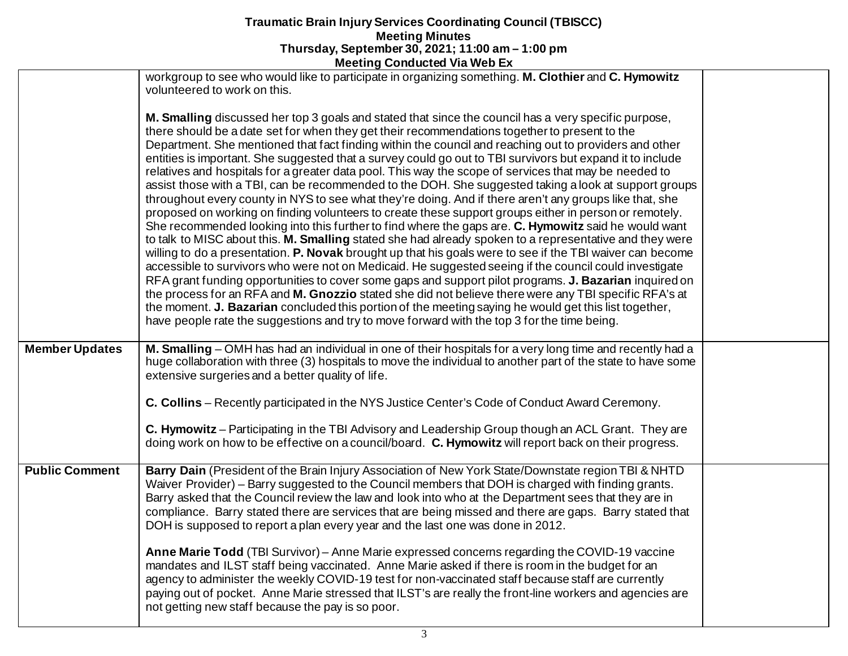|                       | <b>INCRIBITY CONTRACTER VIA MED EX</b>                                                                                                                                                                                                                                                                                                                                                                                                                                                                                                                                                                                                                                                                                                                                                                                                                                                                                                                                                                                                                                                                                                                                                                                                                                                                                                                                                                                                                                                                                                                                                                                                                                                                                                   |  |
|-----------------------|------------------------------------------------------------------------------------------------------------------------------------------------------------------------------------------------------------------------------------------------------------------------------------------------------------------------------------------------------------------------------------------------------------------------------------------------------------------------------------------------------------------------------------------------------------------------------------------------------------------------------------------------------------------------------------------------------------------------------------------------------------------------------------------------------------------------------------------------------------------------------------------------------------------------------------------------------------------------------------------------------------------------------------------------------------------------------------------------------------------------------------------------------------------------------------------------------------------------------------------------------------------------------------------------------------------------------------------------------------------------------------------------------------------------------------------------------------------------------------------------------------------------------------------------------------------------------------------------------------------------------------------------------------------------------------------------------------------------------------------|--|
|                       | workgroup to see who would like to participate in organizing something. M. Clothier and C. Hymowitz<br>volunteered to work on this.                                                                                                                                                                                                                                                                                                                                                                                                                                                                                                                                                                                                                                                                                                                                                                                                                                                                                                                                                                                                                                                                                                                                                                                                                                                                                                                                                                                                                                                                                                                                                                                                      |  |
|                       | M. Smalling discussed her top 3 goals and stated that since the council has a very specific purpose,<br>there should be a date set for when they get their recommendations together to present to the<br>Department. She mentioned that fact finding within the council and reaching out to providers and other<br>entities is important. She suggested that a survey could go out to TBI survivors but expand it to include<br>relatives and hospitals for a greater data pool. This way the scope of services that may be needed to<br>assist those with a TBI, can be recommended to the DOH. She suggested taking a look at support groups<br>throughout every county in NYS to see what they're doing. And if there aren't any groups like that, she<br>proposed on working on finding volunteers to create these support groups either in person or remotely.<br>She recommended looking into this further to find where the gaps are. C. Hymowitz said he would want<br>to talk to MISC about this. M. Smalling stated she had already spoken to a representative and they were<br>willing to do a presentation. P. Novak brought up that his goals were to see if the TBI waiver can become<br>accessible to survivors who were not on Medicaid. He suggested seeing if the council could investigate<br>RFA grant funding opportunities to cover some gaps and support pilot programs. J. Bazarian inquired on<br>the process for an RFA and M. Gnozzio stated she did not believe there were any TBI specific RFA's at<br>the moment. J. Bazarian concluded this portion of the meeting saying he would get this list together,<br>have people rate the suggestions and try to move forward with the top 3 for the time being. |  |
| <b>Member Updates</b> | M. Smalling – OMH has had an individual in one of their hospitals for a very long time and recently had a<br>huge collaboration with three (3) hospitals to move the individual to another part of the state to have some<br>extensive surgeries and a better quality of life.                                                                                                                                                                                                                                                                                                                                                                                                                                                                                                                                                                                                                                                                                                                                                                                                                                                                                                                                                                                                                                                                                                                                                                                                                                                                                                                                                                                                                                                           |  |
|                       | C. Collins – Recently participated in the NYS Justice Center's Code of Conduct Award Ceremony.                                                                                                                                                                                                                                                                                                                                                                                                                                                                                                                                                                                                                                                                                                                                                                                                                                                                                                                                                                                                                                                                                                                                                                                                                                                                                                                                                                                                                                                                                                                                                                                                                                           |  |
|                       | C. Hymowitz - Participating in the TBI Advisory and Leadership Group though an ACL Grant. They are<br>doing work on how to be effective on a council/board. C. Hymowitz will report back on their progress.                                                                                                                                                                                                                                                                                                                                                                                                                                                                                                                                                                                                                                                                                                                                                                                                                                                                                                                                                                                                                                                                                                                                                                                                                                                                                                                                                                                                                                                                                                                              |  |
| <b>Public Comment</b> | Barry Dain (President of the Brain Injury Association of New York State/Downstate region TBI & NHTD<br>Waiver Provider) – Barry suggested to the Council members that DOH is charged with finding grants.<br>Barry asked that the Council review the law and look into who at the Department sees that they are in<br>compliance. Barry stated there are services that are being missed and there are gaps. Barry stated that<br>DOH is supposed to report a plan every year and the last one was done in 2012.                                                                                                                                                                                                                                                                                                                                                                                                                                                                                                                                                                                                                                                                                                                                                                                                                                                                                                                                                                                                                                                                                                                                                                                                                          |  |
|                       | Anne Marie Todd (TBI Survivor) - Anne Marie expressed concerns regarding the COVID-19 vaccine<br>mandates and ILST staff being vaccinated. Anne Marie asked if there is room in the budget for an<br>agency to administer the weekly COVID-19 test for non-vaccinated staff because staff are currently<br>paying out of pocket. Anne Marie stressed that ILST's are really the front-line workers and agencies are<br>not getting new staff because the pay is so poor.                                                                                                                                                                                                                                                                                                                                                                                                                                                                                                                                                                                                                                                                                                                                                                                                                                                                                                                                                                                                                                                                                                                                                                                                                                                                 |  |